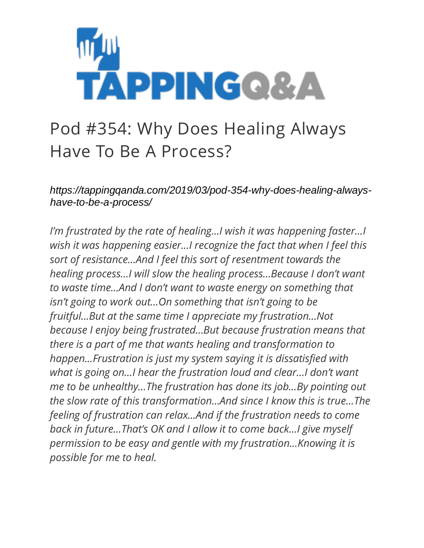

## Pod #354: Why Does Healing Always Have To Be A Process?

*https://tappingqanda.com/2019/03/pod-354-why-does-healing-alwayshave-to-be-a-process/*

*I'm frustrated by the rate of healing…I wish it was happening faster…I wish it was happening easier…I recognize the fact that when I feel this sort of resistance…And I feel this sort of resentment towards the healing process…I will slow the healing process…Because I don't want to waste time…And I don't want to waste energy on something that isn't going to work out…On something that isn't going to be fruitful…But at the same time I appreciate my frustration…Not because I enjoy being frustrated…But because frustration means that there is a part of me that wants healing and transformation to happen…Frustration is just my system saying it is dissatisfied with what is going on…I hear the frustration loud and clear…I don't want me to be unhealthy…The frustration has done its job…By pointing out the slow rate of this transformation…And since I know this is true…The feeling of frustration can relax…And if the frustration needs to come back in future…That's OK and I allow it to come back…I give myself permission to be easy and gentle with my frustration…Knowing it is possible for me to heal.*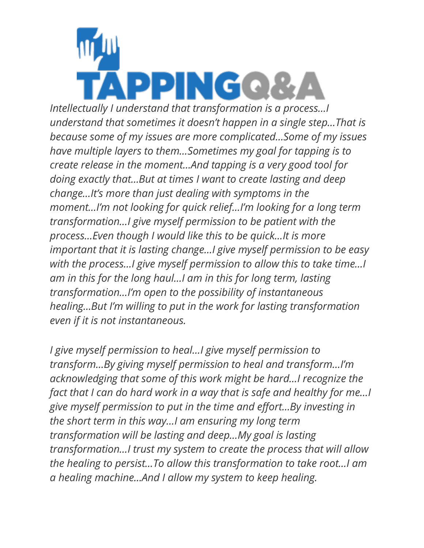

*Intellectually I understand that transformation is a process…I understand that sometimes it doesn't happen in a single step…That is because some of my issues are more complicated…Some of my issues have multiple layers to them…Sometimes my goal for tapping is to create release in the moment…And tapping is a very good tool for doing exactly that…But at times I want to create lasting and deep change…It's more than just dealing with symptoms in the moment…I'm not looking for quick relief…I'm looking for a long term transformation…I give myself permission to be patient with the process…Even though I would like this to be quick…It is more important that it is lasting change…I give myself permission to be easy with the process…I give myself permission to allow this to take time…I am in this for the long haul…I am in this for long term, lasting transformation…I'm open to the possibility of instantaneous healing…But I'm willing to put in the work for lasting transformation even if it is not instantaneous.*

*I give myself permission to heal…I give myself permission to transform…By giving myself permission to heal and transform…I'm acknowledging that some of this work might be hard…I recognize the fact that I can do hard work in a way that is safe and healthy for me…I give myself permission to put in the time and effort…By investing in the short term in this way…I am ensuring my long term transformation will be lasting and deep…My goal is lasting transformation…I trust my system to create the process that will allow the healing to persist…To allow this transformation to take root…I am a healing machine…And I allow my system to keep healing.*